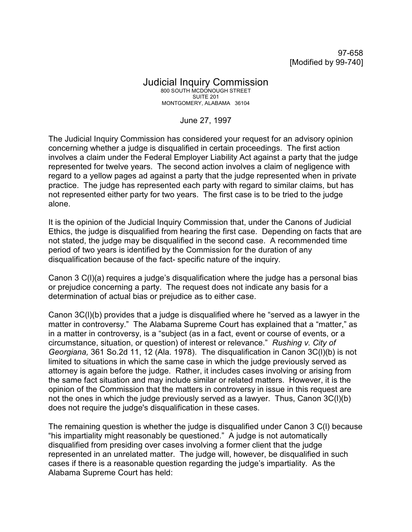97-658 [Modified by 99-740]

## Judicial Inquiry Commission 800 SOUTH MCDONOUGH STREET SUITE 201 MONTGOMERY, ALABAMA 36104

## June 27, 1997

The Judicial Inquiry Commission has considered your request for an advisory opinion concerning whether a judge is disqualified in certain proceedings. The first action involves a claim under the Federal Employer Liability Act against a party that the judge represented for twelve years. The second action involves a claim of negligence with regard to a yellow pages ad against a party that the judge represented when in private practice. The judge has represented each party with regard to similar claims, but has not represented either party for two years. The first case is to be tried to the judge alone.

It is the opinion of the Judicial Inquiry Commission that, under the Canons of Judicial Ethics, the judge is disqualified from hearing the first case. Depending on facts that are not stated, the judge may be disqualified in the second case. A recommended time period of two years is identified by the Commission for the duration of any disqualification because of the fact- specific nature of the inquiry.

Canon 3 C(l)(a) requires a judge's disqualification where the judge has a personal bias or prejudice concerning a party. The request does not indicate any basis for a determination of actual bias or prejudice as to either case.

Canon 3C(l)(b) provides that a judge is disqualified where he "served as a lawyer in the matter in controversy." The Alabama Supreme Court has explained that a "matter," as in a matter in controversy, is a "subject (as in a fact, event or course of events, or a circumstance, situation, or question) of interest or relevance." *Rushing v. City of Georgiana,* 361 So.2d 11, 12 (Ala. 1978). The disqualification in Canon 3C(l)(b) is not limited to situations in which the same case in which the judge previously served as attorney is again before the judge. Rather, it includes cases involving or arising from the same fact situation and may include similar or related matters. However, it is the opinion of the Commission that the matters in controversy in issue in this request are not the ones in which the judge previously served as a lawyer. Thus, Canon 3C(l)(b) does not require the judge's disqualification in these cases.

The remaining question is whether the judge is disqualified under Canon 3 C(l) because "his impartiality might reasonably be questioned." A judge is not automatically disqualified from presiding over cases involving a former client that the judge represented in an unrelated matter. The judge will, however, be disqualified in such cases if there is a reasonable question regarding the judge's impartiality. As the Alabama Supreme Court has held: